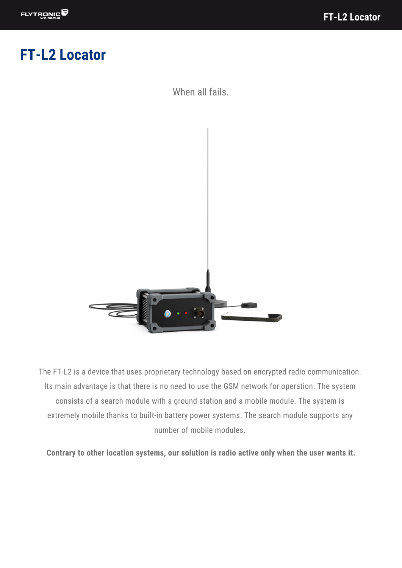# **FT-L2 Locator**

When all fails.



The FT-L2 is a device that uses proprietary technology based on encrypted radio communication. Its main advantage is that there is no need to use the GSM network for operation. The system consists of a search module with a ground station and a mobile module. The system is extremely mobile thanks to built-in battery power systems. The search module supports any number of mobile modules.

**Contrary to other location systems, our solution is radio active only when the user wants it.**